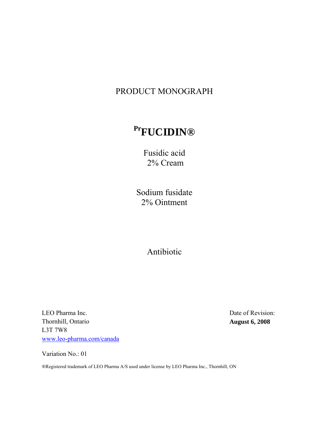## PRODUCT MONOGRAPH

# **PrFUCIDIN®**

Fusidic acid 2% Cream

 Sodium fusidate 2% Ointment

Antibiotic

LEO Pharma Inc. Thornhill, Ontario L3T 7W8 www.leo-pharma.com/canada

Date of Revision: **August 6, 2008** 

Variation No.: 01

®Registered trademark of LEO Pharma A/S used under license by LEO Pharma Inc., Thornhill, ON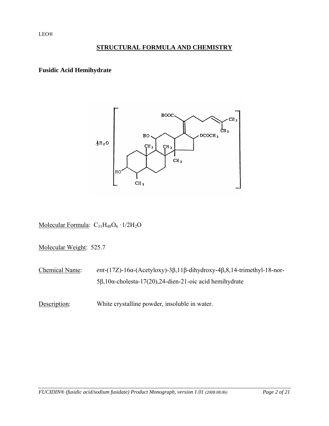## **STRUCTURAL FORMULA AND CHEMISTRY**

#### **Fusidic Acid Hemihydrate**



Molecular Formula:  $C_{31}H_{48}O_6 \cdot 1/2H_2O$ 

Molecular Weight:525.7

Chemical Name: *ent*-(17Ζ)-16α-(Acetyloxy)-3β,11β-dihydroxy-4β,8,14-trimethyl-18-nor-5β,10α-cholesta-17(20),24-dien-21-oic acid hemihydrate

Description: White crystalline powder, insoluble in water.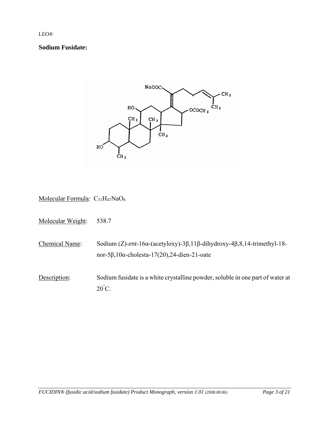#### **Sodium Fusidate:**



Molecular Formula:  $C_{31}H_{47}NaO_6$ 

Molecular Weight:538.7

Chemical Name: Sodium (Ζ)-*ent*-16α-(acetyloxy)-3β,11β-dihydroxy-4β,8,14-trimethyl-18 nor-5β,10α-cholesta-17(20),24-dien-21-oate

Description: Sodium fusidate is a white crystalline powder, soluble in one part of water at  $20^{\circ}$ C.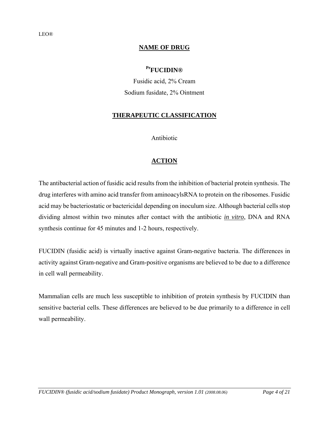#### **NAME OF DRUG**

## **PrFUCIDIN®**

Fusidic acid, 2% Cream Sodium fusidate, 2% Ointment

#### **THERAPEUTIC CLASSIFICATION**

Antibiotic

## **ACTION**

The antibacterial action of fusidic acid results from the inhibition of bacterial protein synthesis. The drug interferes with amino acid transfer from aminoacylsRNA to protein on the ribosomes. Fusidic acid may be bacteriostatic or bactericidal depending on inoculum size. Although bacterial cells stop dividing almost within two minutes after contact with the antibiotic *in vitro*, DNA and RNA synthesis continue for 45 minutes and 1-2 hours, respectively.

FUCIDIN (fusidic acid) is virtually inactive against Gram-negative bacteria. The differences in activity against Gram-negative and Gram-positive organisms are believed to be due to a difference in cell wall permeability.

Mammalian cells are much less susceptible to inhibition of protein synthesis by FUCIDIN than sensitive bacterial cells. These differences are believed to be due primarily to a difference in cell wall permeability.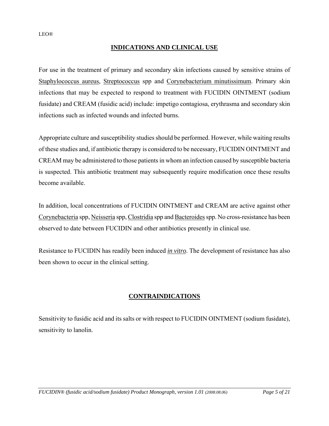## **INDICATIONS AND CLINICAL USE**

For use in the treatment of primary and secondary skin infections caused by sensitive strains of Staphylococcus aureus, Streptococcus spp and Corynebacterium minutissimum. Primary skin infections that may be expected to respond to treatment with FUCIDIN OINTMENT (sodium fusidate) and CREAM (fusidic acid) include: impetigo contagiosa, erythrasma and secondary skin infections such as infected wounds and infected burns.

Appropriate culture and susceptibility studies should be performed. However, while waiting results of these studies and, if antibiotic therapy is considered to be necessary, FUCIDIN OINTMENT and CREAM may be administered to those patients in whom an infection caused by susceptible bacteria is suspected. This antibiotic treatment may subsequently require modification once these results become available.

In addition, local concentrations of FUCIDIN OINTMENT and CREAM are active against other Corynebacteria spp, Neisseria spp, Clostridia spp and Bacteroides spp. No cross-resistance has been observed to date between FUCIDIN and other antibiotics presently in clinical use.

Resistance to FUCIDIN has readily been induced *in vitro*. The development of resistance has also been shown to occur in the clinical setting.

## **CONTRAINDICATIONS**

Sensitivity to fusidic acid and its salts or with respect to FUCIDIN OINTMENT (sodium fusidate), sensitivity to lanolin.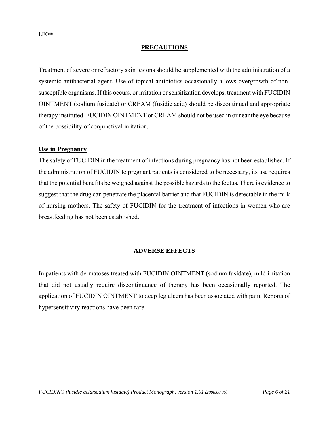#### **PRECAUTIONS**

Treatment of severe or refractory skin lesions should be supplemented with the administration of a systemic antibacterial agent. Use of topical antibiotics occasionally allows overgrowth of nonsusceptible organisms. If this occurs, or irritation or sensitization develops, treatment with FUCIDIN OINTMENT (sodium fusidate) or CREAM (fusidic acid) should be discontinued and appropriate therapy instituted. FUCIDIN OINTMENT or CREAM should not be used in or near the eye because of the possibility of conjunctival irritation.

#### **Use in Pregnancy**

The safety of FUCIDIN in the treatment of infections during pregnancy has not been established. If the administration of FUCIDIN to pregnant patients is considered to be necessary, its use requires that the potential benefits be weighed against the possible hazards to the foetus. There is evidence to suggest that the drug can penetrate the placental barrier and that FUCIDIN is detectable in the milk of nursing mothers. The safety of FUCIDIN for the treatment of infections in women who are breastfeeding has not been established.

## **ADVERSE EFFECTS**

In patients with dermatoses treated with FUCIDIN OINTMENT (sodium fusidate), mild irritation that did not usually require discontinuance of therapy has been occasionally reported. The application of FUCIDIN OINTMENT to deep leg ulcers has been associated with pain. Reports of hypersensitivity reactions have been rare.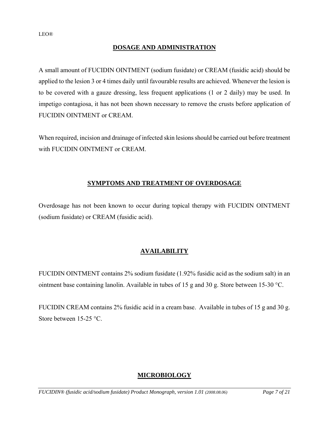## **DOSAGE AND ADMINISTRATION**

A small amount of FUCIDIN OINTMENT (sodium fusidate) or CREAM (fusidic acid) should be applied to the lesion 3 or 4 times daily until favourable results are achieved. Whenever the lesion is to be covered with a gauze dressing, less frequent applications (1 or 2 daily) may be used. In impetigo contagiosa, it has not been shown necessary to remove the crusts before application of FUCIDIN OINTMENT or CREAM.

When required, incision and drainage of infected skin lesions should be carried out before treatment with FUCIDIN OINTMENT or CREAM.

## **SYMPTOMS AND TREATMENT OF OVERDOSAGE**

Overdosage has not been known to occur during topical therapy with FUCIDIN OINTMENT (sodium fusidate) or CREAM (fusidic acid).

## **AVAILABILITY**

FUCIDIN OINTMENT contains 2% sodium fusidate (1.92% fusidic acid as the sodium salt) in an ointment base containing lanolin. Available in tubes of 15 g and 30 g. Store between 15-30 °C.

FUCIDIN CREAM contains 2% fusidic acid in a cream base.Available in tubes of 15 g and 30 g. Store between 15-25 °C.

## **MICROBIOLOGY**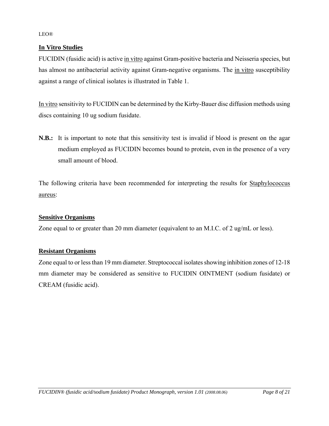## **In Vitro Studies**

FUCIDIN (fusidic acid) is active in vitro against Gram-positive bacteria and Neisseria species, but has almost no antibacterial activity against Gram-negative organisms. The in vitro susceptibility against a range of clinical isolates is illustrated in Table 1.

In vitro sensitivity to FUCIDIN can be determined by the Kirby-Bauer disc diffusion methods using discs containing 10 ug sodium fusidate.

**N.B.:** It is important to note that this sensitivity test is invalid if blood is present on the agar medium employed as FUCIDIN becomes bound to protein, even in the presence of a very small amount of blood.

The following criteria have been recommended for interpreting the results for Staphylococcus aureus:

## **Sensitive Organisms**

Zone equal to or greater than 20 mm diameter (equivalent to an M.I.C. of 2 ug/mL or less).

## **Resistant Organisms**

Zone equal to or less than 19 mm diameter. Streptococcal isolates showing inhibition zones of 12-18 mm diameter may be considered as sensitive to FUCIDIN OINTMENT (sodium fusidate) or CREAM (fusidic acid).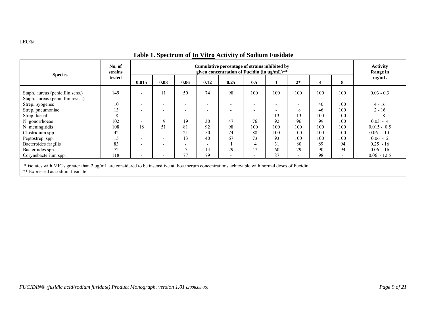| <b>Species</b>                                                                                                                                                                        | No. of<br>strains<br>tested | Cumulative percentage of strains inhibited by<br>given concentration of Fucidin (in $\text{u} \mathbf{g}/\text{mL}$ )** |                          |                          |                          |                          |                          |                          |      |     |                          | <b>Activity</b><br><b>Range in</b> |
|---------------------------------------------------------------------------------------------------------------------------------------------------------------------------------------|-----------------------------|-------------------------------------------------------------------------------------------------------------------------|--------------------------|--------------------------|--------------------------|--------------------------|--------------------------|--------------------------|------|-----|--------------------------|------------------------------------|
|                                                                                                                                                                                       |                             | 0.015                                                                                                                   | 0.03                     | 0.06                     | 0.12                     | 0.25                     | 0.5                      |                          | $2*$ | 4   | 8                        | ug/mL                              |
| Staph. aureus (penicillin sens.)<br>Staph. aureus (penicillin resist.)                                                                                                                | 149                         | $\overline{\phantom{a}}$                                                                                                |                          | 50                       | 74                       | 98                       | 100                      | 100                      | 100  | 100 | 100                      | $0.03 - 0.3$                       |
| Strep. pyogenes                                                                                                                                                                       | 10                          | $\overline{\phantom{a}}$                                                                                                |                          |                          |                          |                          | $\overline{\phantom{0}}$ | $\overline{\phantom{0}}$ |      | 40  | 100                      | $4 - 16$                           |
| Strep. pneumoniae                                                                                                                                                                     | 13                          | $\overline{\phantom{0}}$                                                                                                | $\overline{\phantom{a}}$ | $\overline{\phantom{0}}$ | $\overline{\phantom{a}}$ | $\overline{\phantom{0}}$ | $\overline{\phantom{0}}$ | $\overline{\phantom{0}}$ | 8    | 46  | 100                      | $2 - 16$                           |
| Strep. faecalis                                                                                                                                                                       | 8                           | $\overline{\phantom{a}}$                                                                                                |                          |                          |                          |                          | $\overline{\phantom{0}}$ | 13                       | 13   | 100 | 100                      | $-8$                               |
| N. gonorrhoeae                                                                                                                                                                        | 102                         | $\overline{\phantom{a}}$                                                                                                | Q                        | 19                       | 30                       | 47                       | 76                       | 92                       | 96   | 99  | 100                      | $0.03 - 4$                         |
| N. meningitidis                                                                                                                                                                       | 108                         | 18                                                                                                                      | 51                       | 81                       | 92                       | 98                       | 100                      | 100                      | 100  | 100 | 100                      | $0.015 - 0.5$                      |
| Clostridium spp.                                                                                                                                                                      | 42                          |                                                                                                                         |                          | 21                       | 50                       | 74                       | 88                       | 100                      | 100  | 100 | 100                      | $0.06 - 1.0$                       |
| Peptostrep. spp.                                                                                                                                                                      | 15                          | $\overline{\phantom{0}}$                                                                                                | $\overline{\phantom{0}}$ | 13                       | 40                       | 67                       | 73                       | 93                       | 100  | 100 | 100                      | $0.06 - 2$                         |
| Bacteroides fragilis                                                                                                                                                                  | 83                          | $\overline{\phantom{a}}$                                                                                                |                          |                          | $\overline{\phantom{0}}$ |                          |                          | 31                       | 80   | 89  | 94                       | $0.25 - 16$                        |
| Bacteroides spp.                                                                                                                                                                      | 72                          | $\overline{\phantom{0}}$                                                                                                |                          | $\overline{ }$           | 14                       | 29                       | 47                       | 60                       | 79   | 90  | 94                       | $0.06 - 16$                        |
| Corynebacterium spp.                                                                                                                                                                  | 118                         | $\overline{\phantom{0}}$                                                                                                | $\overline{\phantom{0}}$ | 77                       | 79                       | $\overline{\phantom{0}}$ | $\overline{\phantom{0}}$ | 87                       |      | 98  | $\overline{\phantom{a}}$ | $0.06 - 12.5$                      |
| * isolates with MIC's greater than 2 ug/mL are considered to be insensitive at those serum concentrations achievable with normal doses of Fucidin.<br>** Expressed as sodium fusidate |                             |                                                                                                                         |                          |                          |                          |                          |                          |                          |      |     |                          |                                    |

## **Table 1. Spectrum of In Vitro Activity of Sodium Fusidate**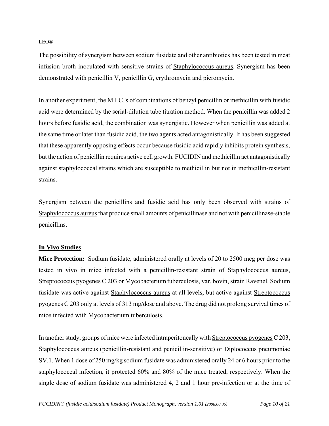The possibility of synergism between sodium fusidate and other antibiotics has been tested in meat infusion broth inoculated with sensitive strains of Staphylococcus aureus. Synergism has been demonstrated with penicillin V, penicillin G, erythromycin and picromycin.

In another experiment, the M.I.C.'s of combinations of benzyl penicillin or methicillin with fusidic acid were determined by the serial-dilution tube titration method. When the penicillin was added 2 hours before fusidic acid, the combination was synergistic. However when penicillin was added at the same time or later than fusidic acid, the two agents acted antagonistically. It has been suggested that these apparently opposing effects occur because fusidic acid rapidly inhibits protein synthesis, but the action of penicillin requires active cell growth. FUCIDIN and methicillin act antagonistically against staphylococcal strains which are susceptible to methicillin but not in methicillin-resistant strains.

Synergism between the penicillins and fusidic acid has only been observed with strains of Staphylococcus aureus that produce small amounts of penicillinase and not with penicillinase-stable penicillins.

#### **In Vivo Studies**

**Mice Protection:** Sodium fusidate, administered orally at levels of 20 to 2500 mcg per dose was tested in vivo in mice infected with a penicillin-resistant strain of Staphylococcus aureus, Streptococcus pyogenes C 203 or Mycobacterium tuberculosis, var. bovin, strain Ravenel. Sodium fusidate was active against Staphylococcus aureus at all levels, but active against Streptococcus pyogenes C 203 only at levels of 313 mg/dose and above. The drug did not prolong survival times of mice infected with Mycobacterium tuberculosis.

In another study, groups of mice were infected intraperitoneally with Streptococcus pyogenes C 203, Staphylococcus aureus (penicillin-resistant and penicillin-sensitive) or Diplococcus pneumoniae SV.1. When 1 dose of 250 mg/kg sodium fusidate was administered orally 24 or 6 hours prior to the staphylococcal infection, it protected 60% and 80% of the mice treated, respectively. When the single dose of sodium fusidate was administered 4, 2 and 1 hour pre-infection or at the time of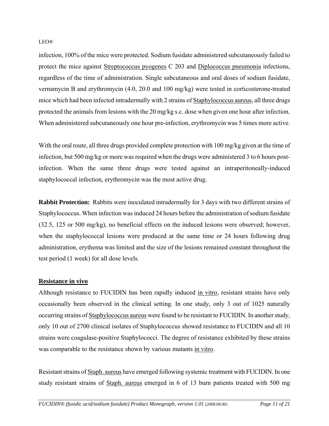infection, 100% of the mice were protected. Sodium fusidate administered subcutaneously failed to protect the mice against Streptococcus pyogenes C 203 and Diplococcus pneumonia infections, regardless of the time of administration. Single subcutaneous and oral doses of sodium fusidate, vernamycin B and erythromycin (4.0, 20.0 and 100 mg/kg) were tested in corticosterone-treated mice which had been infected intradermally with 2 strains of Staphylococcus aureus, all three drugs protected the animals from lesions with the 20 mg/kg s.c. dose when given one hour after infection. When administered subcutaneously one hour pre-infection, erythromycin was 5 times more active.

With the oral route, all three drugs provided complete protection with 100 mg/kg given at the time of infection, but 500 mg/kg or more was required when the drugs were administered 3 to 6 hours postinfection. When the same three drugs were tested against an intraperitoneally-induced staphylococcal infection, erythromycin was the most active drug.

**Rabbit Protection:** Rabbits were inoculated intradermally for 3 days with two different strains of Staphylococcus. When infection was induced 24 hours before the administration of sodium fusidate (32.5, 125 or 500 mg/kg), no beneficial effects on the induced lesions were observed; however, when the staphylococcal lesions were produced at the same time or 24 hours following drug administration, erythema was limited and the size of the lesions remained constant throughout the test period (1 week) for all dose levels.

#### **Resistance in vivo**

Although resistance to FUCIDIN has been rapidly induced in vitro, resistant strains have only occasionally been observed in the clinical setting. In one study, only 3 out of 1025 naturally occurring strains of Staphylococcus aureus were found to be resistant to FUCIDIN. In another study, only 10 out of 2700 clinical isolates of Staphylococcus showed resistance to FUCIDIN and all 10 strains were coagulase-positive Staphylococci. The degree of resistance exhibited by these strains was comparable to the resistance shown by various mutants in vitro.

Resistant strains of Staph. aureus have emerged following systemic treatment with FUCIDIN. In one study resistant strains of Staph. aureus emerged in 6 of 13 burn patients treated with 500 mg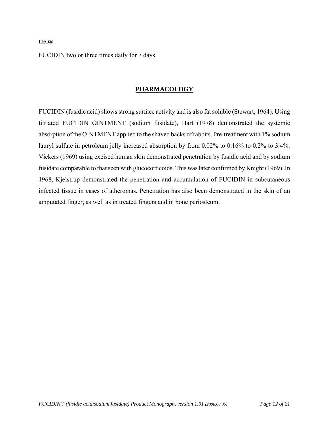FUCIDIN two or three times daily for 7 days.

## **PHARMACOLOGY**

FUCIDIN (fusidic acid) shows strong surface activity and is also fat soluble (Stewart, 1964). Using titriated FUCIDIN OINTMENT (sodium fusidate), Hart (1978) demonstrated the systemic absorption of the OINTMENT applied to the shaved backs of rabbits. Pre-treatment with 1% sodium lauryl sulfate in petroleum jelly increased absorption by from 0.02% to 0.16% to 0.2% to 3.4%. Vickers (1969) using excised human skin demonstrated penetration by fusidic acid and by sodium fusidate comparable to that seen with glucocorticoids. This was later confirmed by Knight (1969). In 1968, Kjelstrup demonstrated the penetration and accumulation of FUCIDIN in subcutaneous infected tissue in cases of atheromas. Penetration has also been demonstrated in the skin of an amputated finger, as well as in treated fingers and in bone periosteum.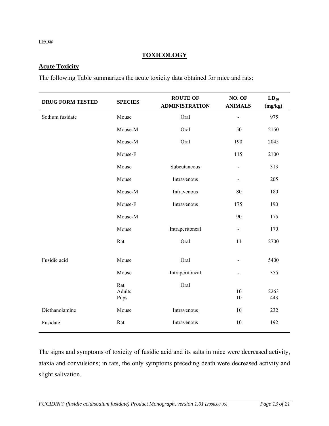#### **TOXICOLOGY**

## **Acute Toxicity**

The following Table summarizes the acute toxicity data obtained for mice and rats:

| <b>DRUG FORM TESTED</b> | <b>SPECIES</b>        | <b>ROUTE OF</b><br><b>ADMINISTRATION</b> | NO. OF<br><b>ANIMALS</b>     | $LD_{50}$<br>(mg/kg) |
|-------------------------|-----------------------|------------------------------------------|------------------------------|----------------------|
| Sodium fusidate         | Mouse                 | Oral                                     | $\qquad \qquad \blacksquare$ | 975                  |
|                         | Mouse-M               | Oral                                     | 50                           | 2150                 |
|                         | Mouse-M               | Oral                                     | 190                          | 2045                 |
|                         | Mouse-F               |                                          | 115                          | 2100                 |
|                         | Mouse                 | Subcutaneous                             | $\overline{\phantom{a}}$     | 313                  |
|                         | Mouse                 | Intravenous                              | $\overline{\phantom{a}}$     | 205                  |
|                         | Mouse-M               | Intravenous                              | 80                           | 180                  |
|                         | Mouse-F               | Intravenous                              | 175                          | 190                  |
|                         | Mouse-M               |                                          | 90                           | 175                  |
|                         | Mouse                 | Intraperitoneal                          | $\blacksquare$               | 170                  |
|                         | Rat                   | Oral                                     | 11                           | 2700                 |
| Fusidic acid            | Mouse                 | Oral                                     | $\blacksquare$               | 5400                 |
|                         | Mouse                 | Intraperitoneal                          | $\qquad \qquad \blacksquare$ | 355                  |
|                         | Rat<br>Adults<br>Pups | Oral                                     | 10<br>10                     | 2263<br>443          |
| Diethanolamine          | Mouse                 | Intravenous                              | 10                           | 232                  |
| Fusidate                | Rat                   | Intravenous                              | 10                           | 192                  |

The signs and symptoms of toxicity of fusidic acid and its salts in mice were decreased activity, ataxia and convulsions; in rats, the only symptoms preceding death were decreased activity and slight salivation.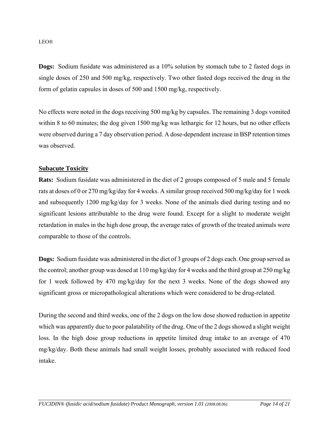**Dogs:** Sodium fusidate was administered as a 10% solution by stomach tube to 2 fasted dogs in single doses of 250 and 500 mg/kg, respectively. Two other fasted dogs received the drug in the form of gelatin capsules in doses of 500 and 1500 mg/kg, respectively.

No effects were noted in the dogs receiving 500 mg/kg by capsules. The remaining 3 dogs vomited within 8 to 60 minutes; the dog given 1500 mg/kg was lethargic for 12 hours, but no other effects were observed during a 7 day observation period. A dose-dependent increase in BSP retention times was observed.

#### **Subacute Toxicity**

**Rats:** Sodium fusidate was administered in the diet of 2 groups composed of 5 male and 5 female rats at doses of 0 or 270 mg/kg/day for 4 weeks. A similar group received 500 mg/kg/day for 1 week and subsequently 1200 mg/kg/day for 3 weeks. None of the animals died during testing and no significant lesions attributable to the drug were found. Except for a slight to moderate weight retardation in males in the high dose group, the average rates of growth of the treated animals were comparable to those of the controls.

**Dogs:** Sodium fusidate was administered in the diet of 3 groups of 2 dogs each. One group served as the control; another group was dosed at 110 mg/kg/day for 4 weeks and the third group at 250 mg/kg for 1 week followed by 470 mg/kg/day for the next 3 weeks. None of the dogs showed any significant gross or micropathological alterations which were considered to be drug-related.

During the second and third weeks, one of the 2 dogs on the low dose showed reduction in appetite which was apparently due to poor palatability of the drug. One of the 2 dogs showed a slight weight loss. In the high dose group reductions in appetite limited drug intake to an average of 470 mg/kg/day. Both these animals had small weight losses, probably associated with reduced food intake.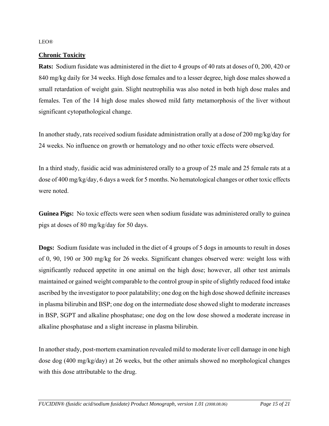#### **Chronic Toxicity**

**Rats:** Sodium fusidate was administered in the diet to 4 groups of 40 rats at doses of 0, 200, 420 or 840 mg/kg daily for 34 weeks. High dose females and to a lesser degree, high dose males showed a small retardation of weight gain. Slight neutrophilia was also noted in both high dose males and females. Ten of the 14 high dose males showed mild fatty metamorphosis of the liver without significant cytopathological change.

In another study, rats received sodium fusidate administration orally at a dose of 200 mg/kg/day for 24 weeks. No influence on growth or hematology and no other toxic effects were observed.

In a third study, fusidic acid was administered orally to a group of 25 male and 25 female rats at a dose of 400 mg/kg/day, 6 days a week for 5 months. No hematological changes or other toxic effects were noted.

**Guinea Pigs:** No toxic effects were seen when sodium fusidate was administered orally to guinea pigs at doses of 80 mg/kg/day for 50 days.

**Dogs:** Sodium fusidate was included in the diet of 4 groups of 5 dogs in amounts to result in doses of 0, 90, 190 or 300 mg/kg for 26 weeks. Significant changes observed were: weight loss with significantly reduced appetite in one animal on the high dose; however, all other test animals maintained or gained weight comparable to the control group in spite of slightly reduced food intake ascribed by the investigator to poor palatability; one dog on the high dose showed definite increases in plasma bilirubin and BSP; one dog on the intermediate dose showed slight to moderate increases in BSP, SGPT and alkaline phosphatase; one dog on the low dose showed a moderate increase in alkaline phosphatase and a slight increase in plasma bilirubin.

In another study, post-mortem examination revealed mild to moderate liver cell damage in one high dose dog (400 mg/kg/day) at 26 weeks, but the other animals showed no morphological changes with this dose attributable to the drug.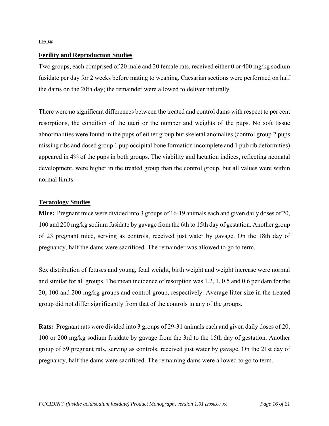#### **Ferility and Reproduction Studies**

Two groups, each comprised of 20 male and 20 female rats, received either 0 or 400 mg/kg sodium fusidate per day for 2 weeks before mating to weaning. Caesarian sections were performed on half the dams on the 20th day; the remainder were allowed to deliver naturally.

There were no significant differences between the treated and control dams with respect to per cent resorptions, the condition of the uteri or the number and weights of the pups. No soft tissue abnormalities were found in the pups of either group but skeletal anomalies (control group 2 pups missing ribs and dosed group 1 pup occipital bone formation incomplete and 1 pub rib deformities) appeared in 4% of the pups in both groups. The viability and lactation indices, reflecting neonatal development, were higher in the treated group than the control group, but all values were within normal limits.

#### **Teratology Studies**

**Mice:** Pregnant mice were divided into 3 groups of 16-19 animals each and given daily doses of 20, 100 and 200 mg/kg sodium fusidate by gavage from the 6th to 15th day of gestation. Another group of 23 pregnant mice, serving as controls, received just water by gavage. On the 18th day of pregnancy, half the dams were sacrificed. The remainder was allowed to go to term.

Sex distribution of fetuses and young, fetal weight, birth weight and weight increase were normal and similar for all groups. The mean incidence of resorption was 1.2, 1, 0.5 and 0.6 per dam for the 20, 100 and 200 mg/kg groups and control group, respectively. Average litter size in the treated group did not differ significantly from that of the controls in any of the groups.

**Rats:** Pregnant rats were divided into 3 groups of 29-31 animals each and given daily doses of 20, 100 or 200 mg/kg sodium fusidate by gavage from the 3rd to the 15th day of gestation. Another group of 59 pregnant rats, serving as controls, received just water by gavage. On the 21st day of pregnancy, half the dams were sacrificed. The remaining dams were allowed to go to term.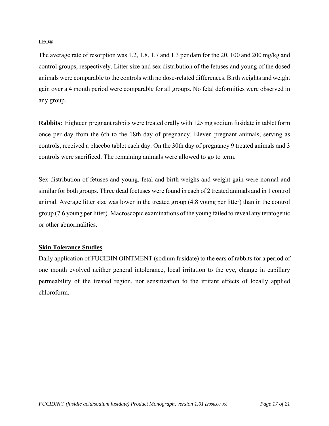The average rate of resorption was 1.2, 1.8, 1.7 and 1.3 per dam for the 20, 100 and 200 mg/kg and control groups, respectively. Litter size and sex distribution of the fetuses and young of the dosed animals were comparable to the controls with no dose-related differences. Birth weights and weight gain over a 4 month period were comparable for all groups. No fetal deformities were observed in any group.

**Rabbits:** Eighteen pregnant rabbits were treated orally with 125 mg sodium fusidate in tablet form once per day from the 6th to the 18th day of pregnancy. Eleven pregnant animals, serving as controls, received a placebo tablet each day. On the 30th day of pregnancy 9 treated animals and 3 controls were sacrificed. The remaining animals were allowed to go to term.

Sex distribution of fetuses and young, fetal and birth weighs and weight gain were normal and similar for both groups. Three dead foetuses were found in each of 2 treated animals and in 1 control animal. Average litter size was lower in the treated group (4.8 young per litter) than in the control group (7.6 young per litter). Macroscopic examinations of the young failed to reveal any teratogenic or other abnormalities.

## **Skin Tolerance Studies**

Daily application of FUCIDIN OINTMENT (sodium fusidate) to the ears of rabbits for a period of one month evolved neither general intolerance, local irritation to the eye, change in capillary permeability of the treated region, nor sensitization to the irritant effects of locally applied chloroform.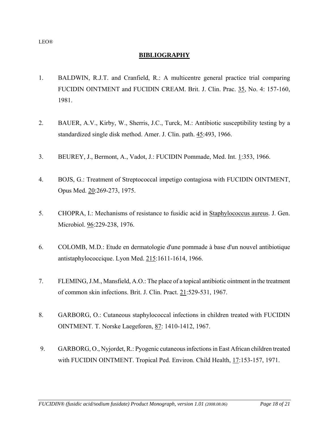#### **BIBLIOGRAPHY**

- 1. BALDWIN, R.J.T. and Cranfield, R.: A multicentre general practice trial comparing FUCIDIN OINTMENT and FUCIDIN CREAM. Brit. J. Clin. Prac. 35, No. 4: 157-160, 1981.
- 2. BAUER, A.V., Kirby, W., Sherris, J.C., Turck, M.: Antibiotic susceptibility testing by a standardized single disk method. Amer. J. Clin. path. 45:493, 1966.
- 3. BEUREY, J., Bermont, A., Vadot, J.: FUCIDIN Pommade, Med. Int. 1:353, 1966.
- 4. BOJS, G.: Treatment of Streptococcal impetigo contagiosa with FUCIDIN OINTMENT, Opus Med. 20:269-273, 1975.
- 5. CHOPRA, I.: Mechanisms of resistance to fusidic acid in Staphylococcus aureus. J. Gen. Microbiol. 96:229-238, 1976.
- 6. COLOMB, M.D.: Etude en dermatologie d'une pommade à base d'un nouvel antibiotique antistaphylococcique. Lyon Med. 215:1611-1614, 1966.
- 7. FLEMING, J.M., Mansfield, A.O.: The place of a topical antibiotic ointment in the treatment of common skin infections. Brit. J. Clin. Pract. 21:529-531, 1967.
- 8. GARBORG, O.: Cutaneous staphylococcal infections in children treated with FUCIDIN OINTMENT. T. Norske Laegeforen, 87: 1410-1412, 1967.
- 9. GARBORG, O., Nyjordet, R.: Pyogenic cutaneous infections in East African children treated with FUCIDIN OINTMENT. Tropical Ped. Environ. Child Health, 17:153-157, 1971.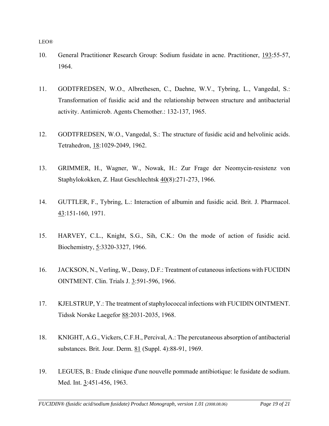- 10. General Practitioner Research Group: Sodium fusidate in acne. Practitioner, 193:55-57, 1964.
- 11. GODTFREDSEN, W.O., Albrethesen, C., Daehne, W.V., Tybring, L., Vangedal, S.: Transformation of fusidic acid and the relationship between structure and antibacterial activity. Antimicrob. Agents Chemother.: 132-137, 1965.
- 12. GODTFREDSEN, W.O., Vangedal, S.: The structure of fusidic acid and helvolinic acids. Tetrahedron, 18:1029-2049, 1962.
- 13. GRIMMER, H., Wagner, W., Nowak, H.: Zur Frage der Neomycin-resistenz von Staphylokokken, Z. Haut Geschlechtsk 40(8):271-273, 1966.
- 14. GUTTLER, F., Tybring, L.: Interaction of albumin and fusidic acid. Brit. J. Pharmacol. 43:151-160, 1971.
- 15. HARVEY, C.L., Knight, S.G., Sih, C.K.: On the mode of action of fusidic acid. Biochemistry, 5:3320-3327, 1966.
- 16. JACKSON, N., Verling, W., Deasy, D.F.: Treatment of cutaneous infections with FUCIDIN OINTMENT. Clin. Trials J. 3:591-596, 1966.
- 17. KJELSTRUP, Y.: The treatment of staphylococcal infections with FUCIDIN OINTMENT. Tidssk Norske Laegefor 88:2031-2035, 1968.
- 18. KNIGHT, A.G., Vickers, C.F.H., Percival, A.: The percutaneous absorption of antibacterial substances. Brit. Jour. Derm. 81 (Suppl. 4):88-91, 1969.
- 19. LEGUES, B.: Etude clinique d'une nouvelle pommade antibiotique: le fusidate de sodium. Med. Int. 3:451-456, 1963.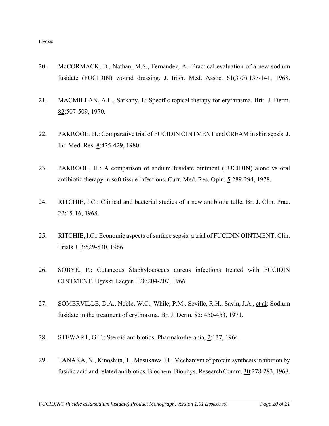- 20. McCORMACK, B., Nathan, M.S., Fernandez, A.: Practical evaluation of a new sodium fusidate (FUCIDIN) wound dressing. J. Irish. Med. Assoc. 61(370):137-141, 1968.
- 21. MACMILLAN, A.L., Sarkany, I.: Specific topical therapy for erythrasma. Brit. J. Derm. 82:507-509, 1970.
- 22. PAKROOH, H.: Comparative trial of FUCIDIN OINTMENT and CREAM in skin sepsis. J. Int. Med. Res. 8:425-429, 1980.
- 23. PAKROOH, H.: A comparison of sodium fusidate ointment (FUCIDIN) alone vs oral antibiotic therapy in soft tissue infections. Curr. Med. Res. Opin. 5:289-294, 1978.
- 24. RITCHIE, I.C.: Clinical and bacterial studies of a new antibiotic tulle. Br. J. Clin. Prac. 22:15-16, 1968.
- 25. RITCHIE, I.C.: Economic aspects of surface sepsis; a trial of FUCIDIN OINTMENT. Clin. Trials J. 3:529-530, 1966.
- 26. SOBYE, P.: Cutaneous Staphylococcus aureus infections treated with FUCIDIN OINTMENT. Ugeskr Laeger, 128:204-207, 1966.
- 27. SOMERVILLE, D.A., Noble, W.C., While, P.M., Seville, R.H., Savin, J.A., et al: Sodium fusidate in the treatment of erythrasma. Br. J. Derm. 85: 450-453, 1971.
- 28. STEWART, G.T.: Steroid antibiotics. Pharmakotherapia, 2:137, 1964.
- 29. TANAKA, N., Kinoshita, T., Masukawa, H.: Mechanism of protein synthesis inhibition by fusidic acid and related antibiotics. Biochem. Biophys. Research Comm. 30:278-283, 1968.